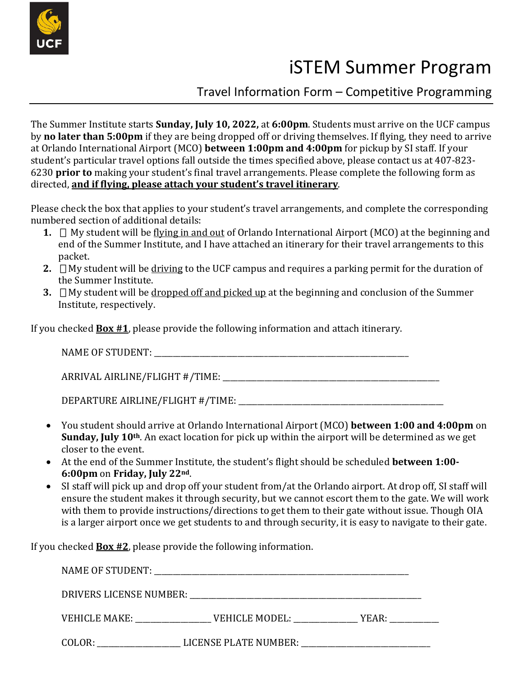

## iSTEM Summer Program

Travel Information Form – Competitive Programming

The Summer Institute starts **Sunday, July 10, 2022,** at **6:00pm**. Students must arrive on the UCF campus by **no later than 5:00pm** if they are being dropped off or driving themselves. If flying, they need to arrive at Orlando International Airport (MCO) **between 1:00pm and 4:00pm** for pickup by SI staff. If your student's particular travel options fall outside the times specified above, please contact us at 407-823- 6230 **prior to** making your student's final travel arrangements. Please complete the following form as directed, **and if flying, please attach your student's travel itinerary**.

Please check the box that applies to your student's travel arrangements, and complete the corresponding numbered section of additional details:

- **1.**  $\Box$  My student will be flying in and out of Orlando International Airport (MCO) at the beginning and end of the Summer Institute, and I have attached an itinerary for their travel arrangements to this packet.
- **2.**  $\Box$  My student will be driving to the UCF campus and requires a parking permit for the duration of the Summer Institute.
- **3.** ▯My student will be dropped off and picked up at the beginning and conclusion of the Summer Institute, respectively.

If you checked **Box #1**, please provide the following information and attach itinerary.

| <b>NAME OF STUDENT:</b> |  |
|-------------------------|--|
|-------------------------|--|

ARRIVAL AIRLINE/FLIGHT #/TIME: \_\_\_\_\_\_\_\_\_\_\_\_\_\_\_\_\_\_\_\_\_\_\_\_\_\_\_\_\_\_\_\_\_\_\_\_\_\_\_\_\_\_\_\_\_\_\_\_\_\_\_\_\_\_\_\_\_

DEPARTURE AIRLINE/FLIGHT #/TIME:

- You student should arrive at Orlando International Airport (MCO) **between 1:00 and 4:00pm** on **Sunday, July 10th**. An exact location for pick up within the airport will be determined as we get closer to the event.
- At the end of the Summer Institute, the student's flight should be scheduled **between 1:00- 6:00pm** on **Friday, July 22nd**.
- SI staff will pick up and drop off your student from/at the Orlando airport. At drop off, SI staff will ensure the student makes it through security, but we cannot escort them to the gate. We will work with them to provide instructions/directions to get them to their gate without issue. Though OIA is a larger airport once we get students to and through security, it is easy to navigate to their gate.

If you checked **Box #2**, please provide the following information.

| VEHICLE MAKE: | VEHICLE MODEL:        | YEAR: _________ |  |  |  |  |
|---------------|-----------------------|-----------------|--|--|--|--|
| COLOR:        | LICENSE PLATE NUMBER: |                 |  |  |  |  |